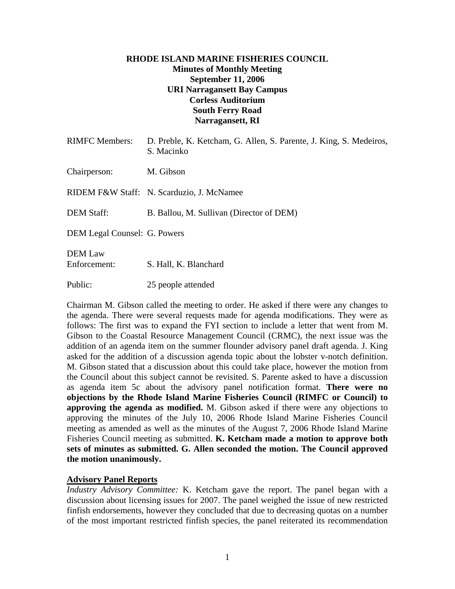# **RHODE ISLAND MARINE FISHERIES COUNCIL Minutes of Monthly Meeting September 11, 2006 URI Narragansett Bay Campus Corless Auditorium South Ferry Road Narragansett, RI**

| <b>RIMFC</b> Members:          | D. Preble, K. Ketcham, G. Allen, S. Parente, J. King, S. Medeiros,<br>S. Macinko |
|--------------------------------|----------------------------------------------------------------------------------|
| Chairperson:                   | M. Gibson                                                                        |
|                                | RIDEM F&W Staff: N. Scarduzio, J. McNamee                                        |
| <b>DEM Staff:</b>              | B. Ballou, M. Sullivan (Director of DEM)                                         |
| DEM Legal Counsel: G. Powers   |                                                                                  |
| <b>DEM</b> Law<br>Enforcement: | S. Hall, K. Blanchard                                                            |
| Public:                        | 25 people attended                                                               |

Chairman M. Gibson called the meeting to order. He asked if there were any changes to the agenda. There were several requests made for agenda modifications. They were as follows: The first was to expand the FYI section to include a letter that went from M. Gibson to the Coastal Resource Management Council (CRMC), the next issue was the addition of an agenda item on the summer flounder advisory panel draft agenda. J. King asked for the addition of a discussion agenda topic about the lobster v-notch definition. M. Gibson stated that a discussion about this could take place, however the motion from the Council about this subject cannot be revisited. S. Parente asked to have a discussion as agenda item 5c about the advisory panel notification format. **There were no objections by the Rhode Island Marine Fisheries Council (RIMFC or Council) to approving the agenda as modified.** M. Gibson asked if there were any objections to approving the minutes of the July 10, 2006 Rhode Island Marine Fisheries Council meeting as amended as well as the minutes of the August 7, 2006 Rhode Island Marine Fisheries Council meeting as submitted. **K. Ketcham made a motion to approve both sets of minutes as submitted. G. Allen seconded the motion. The Council approved the motion unanimously.** 

## **Advisory Panel Reports**

*Industry Advisory Committee:* K. Ketcham gave the report. The panel began with a discussion about licensing issues for 2007. The panel weighed the issue of new restricted finfish endorsements, however they concluded that due to decreasing quotas on a number of the most important restricted finfish species, the panel reiterated its recommendation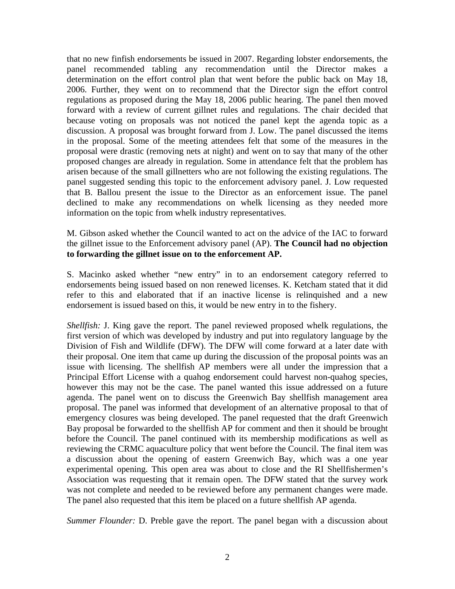that no new finfish endorsements be issued in 2007. Regarding lobster endorsements, the panel recommended tabling any recommendation until the Director makes a determination on the effort control plan that went before the public back on May 18, 2006. Further, they went on to recommend that the Director sign the effort control regulations as proposed during the May 18, 2006 public hearing. The panel then moved forward with a review of current gillnet rules and regulations. The chair decided that because voting on proposals was not noticed the panel kept the agenda topic as a discussion. A proposal was brought forward from J. Low. The panel discussed the items in the proposal. Some of the meeting attendees felt that some of the measures in the proposal were drastic (removing nets at night) and went on to say that many of the other proposed changes are already in regulation. Some in attendance felt that the problem has arisen because of the small gillnetters who are not following the existing regulations. The panel suggested sending this topic to the enforcement advisory panel. J. Low requested that B. Ballou present the issue to the Director as an enforcement issue. The panel declined to make any recommendations on whelk licensing as they needed more information on the topic from whelk industry representatives.

## M. Gibson asked whether the Council wanted to act on the advice of the IAC to forward the gillnet issue to the Enforcement advisory panel (AP). **The Council had no objection to forwarding the gillnet issue on to the enforcement AP.**

S. Macinko asked whether "new entry" in to an endorsement category referred to endorsements being issued based on non renewed licenses. K. Ketcham stated that it did refer to this and elaborated that if an inactive license is relinquished and a new endorsement is issued based on this, it would be new entry in to the fishery.

*Shellfish:* J. King gave the report. The panel reviewed proposed whelk regulations, the first version of which was developed by industry and put into regulatory language by the Division of Fish and Wildlife (DFW). The DFW will come forward at a later date with their proposal. One item that came up during the discussion of the proposal points was an issue with licensing. The shellfish AP members were all under the impression that a Principal Effort License with a quahog endorsement could harvest non-quahog species, however this may not be the case. The panel wanted this issue addressed on a future agenda. The panel went on to discuss the Greenwich Bay shellfish management area proposal. The panel was informed that development of an alternative proposal to that of emergency closures was being developed. The panel requested that the draft Greenwich Bay proposal be forwarded to the shellfish AP for comment and then it should be brought before the Council. The panel continued with its membership modifications as well as reviewing the CRMC aquaculture policy that went before the Council. The final item was a discussion about the opening of eastern Greenwich Bay, which was a one year experimental opening. This open area was about to close and the RI Shellfishermen's Association was requesting that it remain open. The DFW stated that the survey work was not complete and needed to be reviewed before any permanent changes were made. The panel also requested that this item be placed on a future shellfish AP agenda.

*Summer Flounder:* D. Preble gave the report. The panel began with a discussion about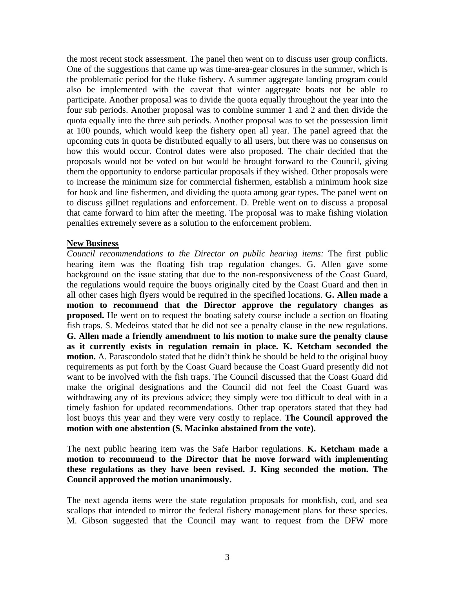the most recent stock assessment. The panel then went on to discuss user group conflicts. One of the suggestions that came up was time-area-gear closures in the summer, which is the problematic period for the fluke fishery. A summer aggregate landing program could also be implemented with the caveat that winter aggregate boats not be able to participate. Another proposal was to divide the quota equally throughout the year into the four sub periods. Another proposal was to combine summer 1 and 2 and then divide the quota equally into the three sub periods. Another proposal was to set the possession limit at 100 pounds, which would keep the fishery open all year. The panel agreed that the upcoming cuts in quota be distributed equally to all users, but there was no consensus on how this would occur. Control dates were also proposed. The chair decided that the proposals would not be voted on but would be brought forward to the Council, giving them the opportunity to endorse particular proposals if they wished. Other proposals were to increase the minimum size for commercial fishermen, establish a minimum hook size for hook and line fishermen, and dividing the quota among gear types. The panel went on to discuss gillnet regulations and enforcement. D. Preble went on to discuss a proposal that came forward to him after the meeting. The proposal was to make fishing violation penalties extremely severe as a solution to the enforcement problem.

#### **New Business**

*Council recommendations to the Director on public hearing items:* The first public hearing item was the floating fish trap regulation changes. G. Allen gave some background on the issue stating that due to the non-responsiveness of the Coast Guard, the regulations would require the buoys originally cited by the Coast Guard and then in all other cases high flyers would be required in the specified locations. **G. Allen made a motion to recommend that the Director approve the regulatory changes as proposed.** He went on to request the boating safety course include a section on floating fish traps. S. Medeiros stated that he did not see a penalty clause in the new regulations. **G. Allen made a friendly amendment to his motion to make sure the penalty clause as it currently exists in regulation remain in place. K. Ketcham seconded the motion.** A. Parascondolo stated that he didn't think he should be held to the original buoy requirements as put forth by the Coast Guard because the Coast Guard presently did not want to be involved with the fish traps. The Council discussed that the Coast Guard did make the original designations and the Council did not feel the Coast Guard was withdrawing any of its previous advice; they simply were too difficult to deal with in a timely fashion for updated recommendations. Other trap operators stated that they had lost buoys this year and they were very costly to replace. **The Council approved the motion with one abstention (S. Macinko abstained from the vote).**

The next public hearing item was the Safe Harbor regulations. **K. Ketcham made a motion to recommend to the Director that he move forward with implementing these regulations as they have been revised. J. King seconded the motion. The Council approved the motion unanimously.**

The next agenda items were the state regulation proposals for monkfish, cod, and sea scallops that intended to mirror the federal fishery management plans for these species. M. Gibson suggested that the Council may want to request from the DFW more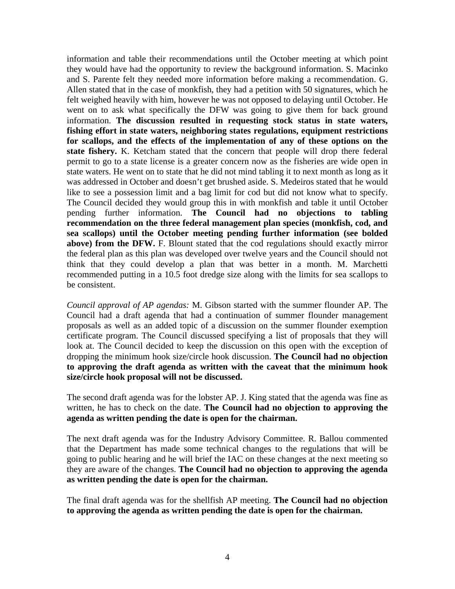information and table their recommendations until the October meeting at which point they would have had the opportunity to review the background information. S. Macinko and S. Parente felt they needed more information before making a recommendation. G. Allen stated that in the case of monkfish, they had a petition with 50 signatures, which he felt weighed heavily with him, however he was not opposed to delaying until October. He went on to ask what specifically the DFW was going to give them for back ground information. **The discussion resulted in requesting stock status in state waters, fishing effort in state waters, neighboring states regulations, equipment restrictions for scallops, and the effects of the implementation of any of these options on the state fishery.** K. Ketcham stated that the concern that people will drop there federal permit to go to a state license is a greater concern now as the fisheries are wide open in state waters. He went on to state that he did not mind tabling it to next month as long as it was addressed in October and doesn't get brushed aside. S. Medeiros stated that he would like to see a possession limit and a bag limit for cod but did not know what to specify. The Council decided they would group this in with monkfish and table it until October pending further information. **The Council had no objections to tabling recommendation on the three federal management plan species (monkfish, cod, and sea scallops) until the October meeting pending further information (see bolded above) from the DFW.** F. Blount stated that the cod regulations should exactly mirror the federal plan as this plan was developed over twelve years and the Council should not think that they could develop a plan that was better in a month. M. Marchetti recommended putting in a 10.5 foot dredge size along with the limits for sea scallops to be consistent.

*Council approval of AP agendas:* M. Gibson started with the summer flounder AP. The Council had a draft agenda that had a continuation of summer flounder management proposals as well as an added topic of a discussion on the summer flounder exemption certificate program. The Council discussed specifying a list of proposals that they will look at. The Council decided to keep the discussion on this open with the exception of dropping the minimum hook size/circle hook discussion. **The Council had no objection to approving the draft agenda as written with the caveat that the minimum hook size/circle hook proposal will not be discussed.**

The second draft agenda was for the lobster AP. J. King stated that the agenda was fine as written, he has to check on the date. **The Council had no objection to approving the agenda as written pending the date is open for the chairman.**

The next draft agenda was for the Industry Advisory Committee. R. Ballou commented that the Department has made some technical changes to the regulations that will be going to public hearing and he will brief the IAC on these changes at the next meeting so they are aware of the changes. **The Council had no objection to approving the agenda as written pending the date is open for the chairman.** 

The final draft agenda was for the shellfish AP meeting. **The Council had no objection to approving the agenda as written pending the date is open for the chairman.**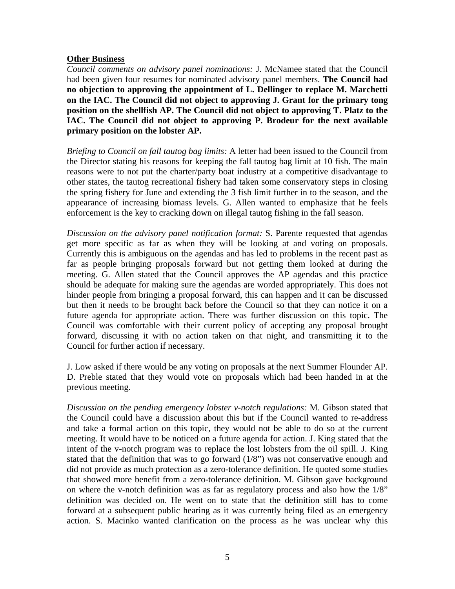# **Other Business**

*Council comments on advisory panel nominations:* J. McNamee stated that the Council had been given four resumes for nominated advisory panel members. **The Council had no objection to approving the appointment of L. Dellinger to replace M. Marchetti on the IAC. The Council did not object to approving J. Grant for the primary tong position on the shellfish AP. The Council did not object to approving T. Platz to the IAC. The Council did not object to approving P. Brodeur for the next available primary position on the lobster AP.**

*Briefing to Council on fall tautog bag limits:* A letter had been issued to the Council from the Director stating his reasons for keeping the fall tautog bag limit at 10 fish. The main reasons were to not put the charter/party boat industry at a competitive disadvantage to other states, the tautog recreational fishery had taken some conservatory steps in closing the spring fishery for June and extending the 3 fish limit further in to the season, and the appearance of increasing biomass levels. G. Allen wanted to emphasize that he feels enforcement is the key to cracking down on illegal tautog fishing in the fall season.

*Discussion on the advisory panel notification format:* S. Parente requested that agendas get more specific as far as when they will be looking at and voting on proposals. Currently this is ambiguous on the agendas and has led to problems in the recent past as far as people bringing proposals forward but not getting them looked at during the meeting. G. Allen stated that the Council approves the AP agendas and this practice should be adequate for making sure the agendas are worded appropriately. This does not hinder people from bringing a proposal forward, this can happen and it can be discussed but then it needs to be brought back before the Council so that they can notice it on a future agenda for appropriate action. There was further discussion on this topic. The Council was comfortable with their current policy of accepting any proposal brought forward, discussing it with no action taken on that night, and transmitting it to the Council for further action if necessary.

J. Low asked if there would be any voting on proposals at the next Summer Flounder AP. D. Preble stated that they would vote on proposals which had been handed in at the previous meeting.

*Discussion on the pending emergency lobster v-notch regulations:* M. Gibson stated that the Council could have a discussion about this but if the Council wanted to re-address and take a formal action on this topic, they would not be able to do so at the current meeting. It would have to be noticed on a future agenda for action. J. King stated that the intent of the v-notch program was to replace the lost lobsters from the oil spill. J. King stated that the definition that was to go forward  $(1/8)$ " was not conservative enough and did not provide as much protection as a zero-tolerance definition. He quoted some studies that showed more benefit from a zero-tolerance definition. M. Gibson gave background on where the v-notch definition was as far as regulatory process and also how the 1/8" definition was decided on. He went on to state that the definition still has to come forward at a subsequent public hearing as it was currently being filed as an emergency action. S. Macinko wanted clarification on the process as he was unclear why this